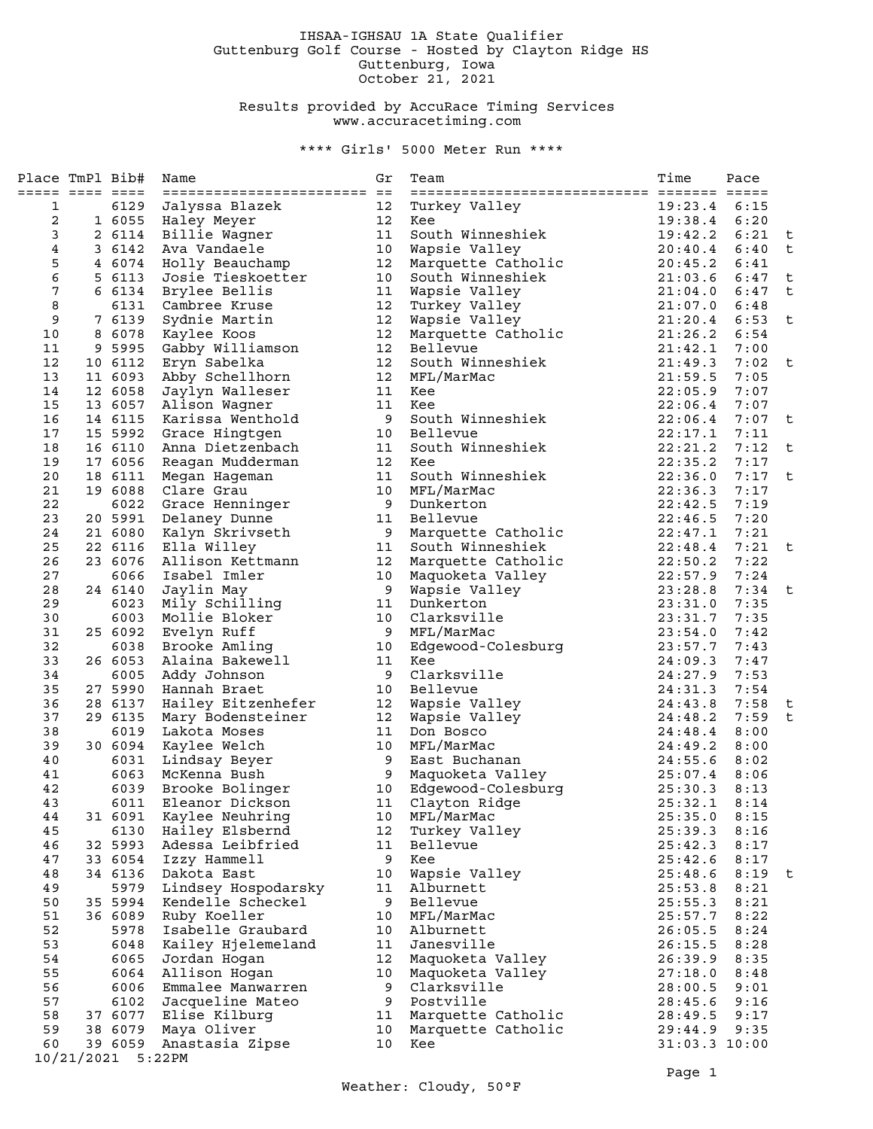## IHSAA-IGHSAU 1A State Qualifier Guttenburg Golf Course - Hosted by Clayton Ridge HS Guttenburg, Iowa October 21, 2021

## Results provided by AccuRace Timing Services www.accuracetiming.com

\*\*\*\* Girls' 5000 Meter Run \*\*\*\*

| Place TmPl Bib# |                    | Name                                     | Gr              | Team                        | Time               | Pace         |        |
|-----------------|--------------------|------------------------------------------|-----------------|-----------------------------|--------------------|--------------|--------|
| ===== ==== ==== |                    | ===============================          |                 |                             |                    |              |        |
| 1               | 6129               | Jalyssa Blazek                           | 12              | Turkey Valley               | 19:23.4            | 6:15         |        |
| 2               |                    | 1 6055 Haley Meyer                       | 12              | Kee                         | 19:38.4            | 6:20         |        |
| 3               | 2 6114             | Billie Wagner                            | 11              | South Winneshiek            | 19:42.2            | 6:21         | t      |
| 4               |                    | 3 6142 Ava Vandaele                      | 10              | Wapsie Valley               | 20:40.4            | 6:40         | t      |
| 5               |                    | 4 6074 Holly Beauchamp                   | 12              | Marquette Catholic          | 20:45.2            | 6:41         |        |
| 6               | 5 6113             | Josie Tieskoetter                        | 10              | South Winneshiek            | 21:03.6            | 6:47         | t      |
| 7               | 6 6134             | Brylee Bellis                            | 11              | Wapsie Valley               | 21:04.0            | 6:47         | t      |
| 8               | 6131               | Cambree Kruse                            | 12              | Turkey Valley               | 21:07.0            | 6:48         |        |
| 9               | 7 6139             | Sydnie Martin                            | 12              | Wapsie Valley               | 21:20.4            | 6:53         | t      |
| 10              |                    | 8 6078 Kaylee Koos                       | 12 <sub>2</sub> | Marquette Catholic          | 21:26.2            | 6:54         |        |
| 11              |                    | 9 5995 Gabby Williamson                  | 12 <sub>2</sub> | Bellevue                    | 21:42.1            | 7:00         |        |
| 12              | 10 6112            | Eryn Sabelka                             | 12              | South Winneshiek            | 21:49.3            | 7:02         | t      |
| 13              | 11 6093            | Abby Schellhorn                          | 12 <sup>°</sup> | MFL/MarMac                  | 21:59.5            | 7:05         |        |
| 14              | 12 6058            | Jaylyn Walleser                          | 11              | Kee                         | 22:05.9            | 7:07         |        |
| 15              | 13 6057            | Alison Wagner                            | 11              | Kee                         | 22:06.4            | 7:07         |        |
| 16              |                    | 14 6115 Karissa Wenthold                 | 9               | South Winneshiek            | 22:06.4            | 7:07         | t      |
| 17              | 15 5992            | Grace Hingtgen                           | 10              | Bellevue                    | 22:17.1            | 7:11         |        |
| 18              | 16 6110            | Anna Dietzenbach                         | 11              | South Winneshiek            | 22:21.2            | 7:12         | t      |
| 19              |                    | 17 6056 Reagan Mudderman                 | 12 <sup>°</sup> | Kee                         | 22:35.2            | 7:17         |        |
| 20              | 18 6111            | Megan Hageman                            | 11              | South Winneshiek            | 22:36.0            | 7:17         | t      |
| 21              | 19 6088            | Clare Grau                               | 10              | MFL/MarMac                  | 22:36.3            | 7:17         |        |
| 22              |                    | 6022 Grace Henninger                     | 9               | Dunkerton                   | 22:42.5            | 7:19         |        |
| 23              |                    | 20 5991 Delaney Dunne                    | 11              | Bellevue                    | 22:46.5            | 7:20         |        |
| 24              | 21 6080            | Kalyn Skrivseth                          | 9               | Marquette Catholic          | 22:47.1            | 7:21         |        |
| 25              | 22 6116            | Ella Willey                              | 11              | South Winneshiek            | 22:48.4            | 7:21         | t      |
| 26              | 23 6076            | Allison Kettmann                         | 12              | Marquette Catholic          | 22:50.2            | 7:22         |        |
| 27              | 6066               | Isabel Imler                             | 10              | Maquoketa Valley            | 22:57.9            | 7:24         |        |
| 28              | 24 6140            | Jaylin May                               | 9               | Wapsie Valley               | 23:28.8            | 7:34         | t      |
| 29              | 6023               | Mily Schilling                           | 11              | Dunkerton                   | 23:31.0            | 7:35         |        |
| 30              | 6003               | Mollie Bloker                            | 10              | Clarksville                 | 23:31.7            | 7:35         |        |
| 31              | 25 6092            |                                          | 9               | MFL/MarMac                  | 23:54.0            | 7:42         |        |
| 32              |                    | Evelyn Ruff<br>6038 Brooke Amling        | 10              | Edgewood-Colesburg          | 23:57.7            | 7:43         |        |
| 33              | 26 6053            | Alaina Bakewell                          | 11              | Kee                         | 24:09.3            | 7:47         |        |
| 34              | 6005               |                                          | 9               | Clarksville                 | 24:27.9            | 7:53         |        |
| 35              |                    | Addy Johnson<br>27 5990 Hannah Braet     |                 | Bellevue                    | 24:31.3            | 7:54         |        |
| 36              | 28 6137            |                                          | 10<br>12        |                             | 24:43.8            | 7:58         |        |
| 37              | 29 6135            | Hailey Eitzenhefer                       | 12              | Wapsie Valley               | 24:48.2            | 7:59         | t<br>t |
|                 | 6019               | Mary Bodensteiner                        | 11              | Wapsie Valley               |                    |              |        |
| 38<br>39        | 30 6094            | Lakota Moses                             | 10              | Don Bosco<br>MFL/MarMac     | 24:48.4<br>24:49.2 | 8:00         |        |
|                 |                    | Kaylee Welch                             |                 | East Buchanan               |                    | 8:00         |        |
| 40              | 6063               | 6031 Lindsay Beyer<br>McKenna Bush       | 9<br>9          | Maquoketa Valley            | 24:55.6<br>25:07.4 | 8:02         |        |
| 41              |                    |                                          |                 |                             |                    | 8:06         |        |
| 42<br>43        | 6039<br>6011       | Brooke Bolinger<br>Eleanor Dickson       | 10<br>11        | Edgewood-Colesburg          | 25:30.3<br>25:32.1 | 8:13<br>8:14 |        |
| 44              | 31 6091            | Kaylee Neuhring                          |                 | Clayton Ridge<br>MFL/MarMac | 25:35.0            | 8:15         |        |
| 45              | 6130               | Hailey Elsbernd                          | 10<br>12        | Turkey Valley               | 25:39.3            | 8:16         |        |
| 46              | 32 5993            | Adessa Leibfried                         | 11              | Bellevue                    | 25:42.3            | 8:17         |        |
|                 |                    | Izzy Hammell                             | 9               |                             |                    |              |        |
| 47<br>48        | 33 6054<br>34 6136 |                                          | 10              | Kee<br>Wapsie Valley        | 25:42.6            | 8:17<br>8:19 | t      |
| 49              |                    | Dakota East                              |                 | Alburnett                   | 25:48.6            |              |        |
| 50              | 5979<br>35 5994    | Lindsey Hospodarsky<br>Kendelle Scheckel | 11<br>9         | Bellevue                    | 25:53.8<br>25:55.3 | 8:21<br>8:21 |        |
| 51              |                    |                                          | 10              | MFL/MarMac                  |                    |              |        |
|                 | 36 6089            | Ruby Koeller                             |                 | Alburnett                   | 25:57.7            | 8:22         |        |
| 52              | 5978               | Isabelle Graubard                        | 10              | Janesville                  | 26:05.5            | 8:24         |        |
| 53              | 6048               | Kailey Hjelemeland                       | 11              |                             | 26:15.5            | 8:28         |        |
| 54              | 6065               | Jordan Hogan                             | 12              | Maquoketa Valley            | 26:39.9            | 8:35         |        |
| 55              | 6064               | Allison Hogan                            | 10              | Maquoketa Valley            | 27:18.0            | 8:48         |        |
| 56              | 6006               | Emmalee Manwarren                        | 9               | Clarksville                 | 28:00.5            | 9:01         |        |
| 57              | 6102               | Jacqueline Mateo                         | 9               | Postville                   | 28:45.6            | 9:16         |        |
| 58              | 37 6077            | Elise Kilburg                            | 11              | Marquette Catholic          | 28:49.5            | 9:17         |        |
| 59              | 38 6079            | Maya Oliver                              | 10              | Marquette Catholic          | 29:44.9            | 9:35         |        |
| 60              | 39 6059            | Anastasia Zipse                          | 10 <sub>1</sub> | Kee                         | $31:03.3$ $10:00$  |              |        |
|                 | 10/21/2021 5:22PM  |                                          |                 |                             |                    |              |        |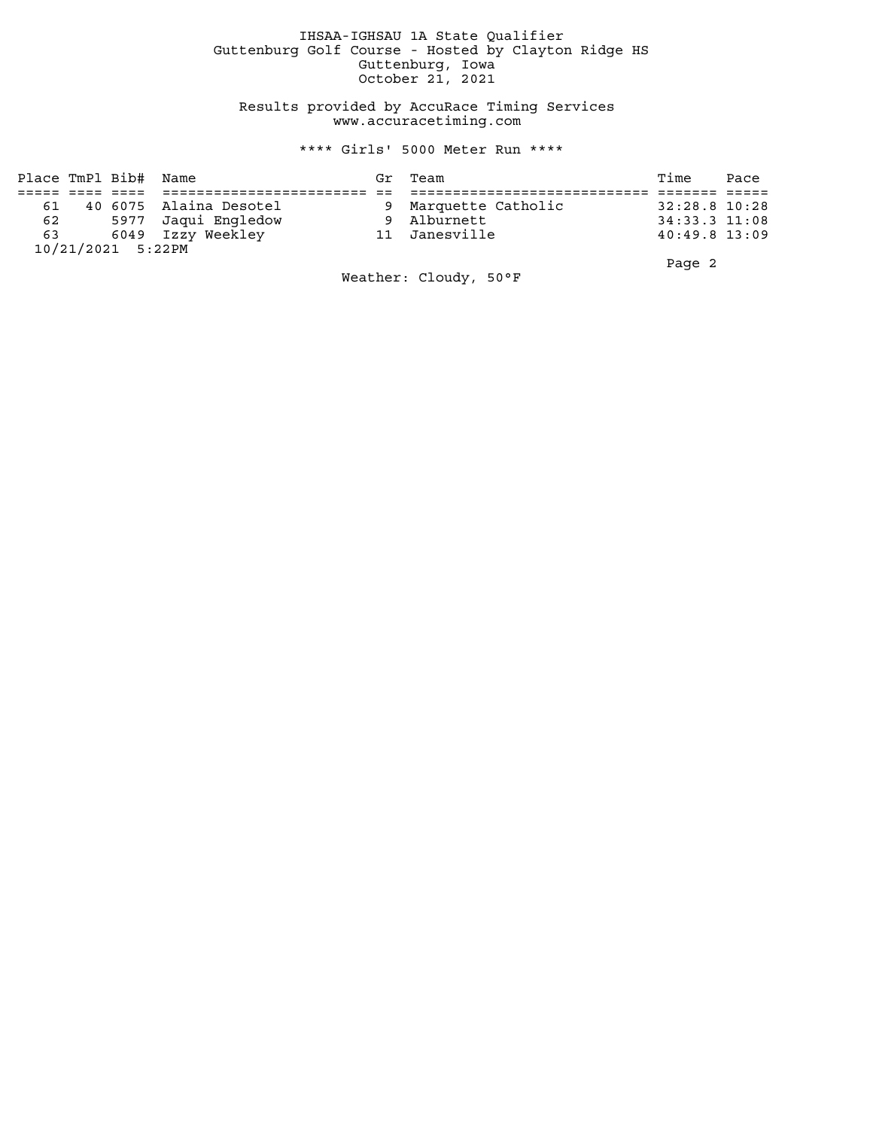## IHSAA-IGHSAU 1A State Qualifier Guttenburg Golf Course - Hosted by Clayton Ridge HS Guttenburg, Iowa October 21, 2021

 Results provided by AccuRace Timing Services www.accuracetiming.com

## \*\*\*\* Girls' 5000 Meter Run \*\*\*\*

|    | Place TmPl Bib# Name |                        | Gr Team              | Time            | Pace |
|----|----------------------|------------------------|----------------------|-----------------|------|
|    |                      |                        |                      |                 |      |
| 61 |                      | 40 6075 Alaina Desotel | 9 Marquette Catholic | 32:28.8 10:28   |      |
|    |                      | 62 5977 Jaqui Engledow | 9 Alburnett          | 34:33.3 11:08   |      |
|    |                      | 63 6049 Izzy Weekley   | 11 Janesville        | $40:49.8$ 13:09 |      |
|    | 10/21/2021 5:22PM    |                        |                      |                 |      |
|    |                      |                        |                      | Page 2          |      |

Weather: Cloudy, 50°F